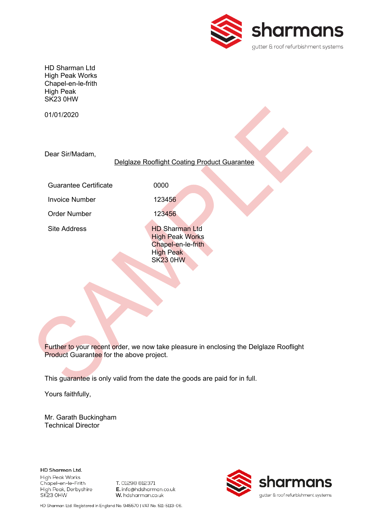

HD Sharman Ltd High Peak Works Chapel-en-le-frith High Peak SK23 0HW

01/01/2020

Dear Sir/Madam,

### Delglaze Rooflight Coating Product Guarantee

Guarantee Certificate **0000** 

Invoice Number 123456

Order Number 123456

Site Address **HD Sharman Ltd High Peak Works**  Chapel-en-le-frith High Peak SK23 0HW

Further to your recent order, we now take pleasure in enclosing the Delglaze Rooflight Product Guarantee for the above project.

This guarantee is only valid from the date the goods are paid for in full.

Yours faithfully,

Mr. Garath Buckingham Technical Director

HD Sharman Ltd. High Peak Works Chapel-en-le-Frith High Peak, Derbyshire SK23 OHW

T. 01298 812371 E. info@hdsharman.co.uk W. hdsharman.co.uk



HD Sharman Ltd. Registered in England No. 945570 | VAT No. 511-5113-06.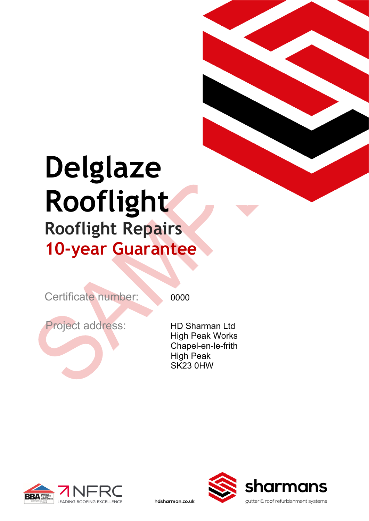# **Delglaze Rooflight Rooflight Repairs 10-year Guarantee**

Certificate number: 0000

hdsharman.co.uk

Project address: HD Sharman Ltd

High Peak Works Chapel-en-le-frith High Peak SK23 0HW



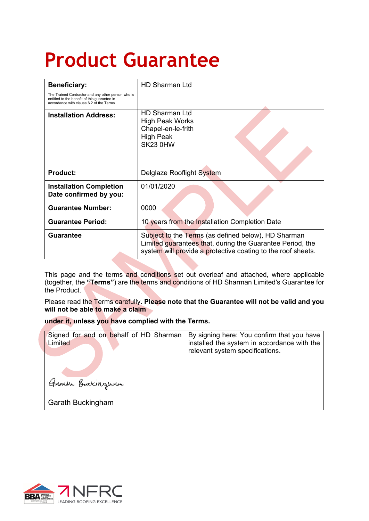## **Product Guarantee**

| <b>Beneficiary:</b>                                                                                                                           | <b>HD Sharman Ltd</b>                                                                                                                                                            |
|-----------------------------------------------------------------------------------------------------------------------------------------------|----------------------------------------------------------------------------------------------------------------------------------------------------------------------------------|
| The Trained Contractor and any other person who is<br>entitled to the benefit of this guarantee in<br>accordance with clause 6.2 of the Terms |                                                                                                                                                                                  |
| <b>Installation Address:</b>                                                                                                                  | <b>HD Sharman Ltd</b><br><b>High Peak Works</b><br>Chapel-en-le-frith<br><b>High Peak</b><br>SK23 0HW                                                                            |
| <b>Product:</b>                                                                                                                               | Delglaze Rooflight System                                                                                                                                                        |
| <b>Installation Completion</b><br>Date confirmed by you:                                                                                      | 01/01/2020                                                                                                                                                                       |
| <b>Guarantee Number:</b>                                                                                                                      | 0000                                                                                                                                                                             |
| <b>Guarantee Period:</b>                                                                                                                      | 10 years from the Installation Completion Date                                                                                                                                   |
| <b>Guarantee</b>                                                                                                                              | Subject to the Terms (as defined below), HD Sharman<br>Limited guarantees that, during the Guarantee Period, the<br>system will provide a protective coating to the roof sheets. |

This page and the terms and conditions set out overleaf and attached, where applicable (together, the **"Terms"**) are the terms and conditions of HD Sharman Limited's Guarantee for the Product.

Please read the Terms carefully. **Please note that the Guarantee will not be valid and you will not be able to make a claim**

**under it, unless you have complied with the Terms.**

| Signed for and on behalf of HD Sharman<br>Limited | By signing here: You confirm that you have<br>installed the system in accordance with the<br>relevant system specifications. |
|---------------------------------------------------|------------------------------------------------------------------------------------------------------------------------------|
| Garrow Buckinguam                                 |                                                                                                                              |
| <b>Garath Buckingham</b>                          |                                                                                                                              |